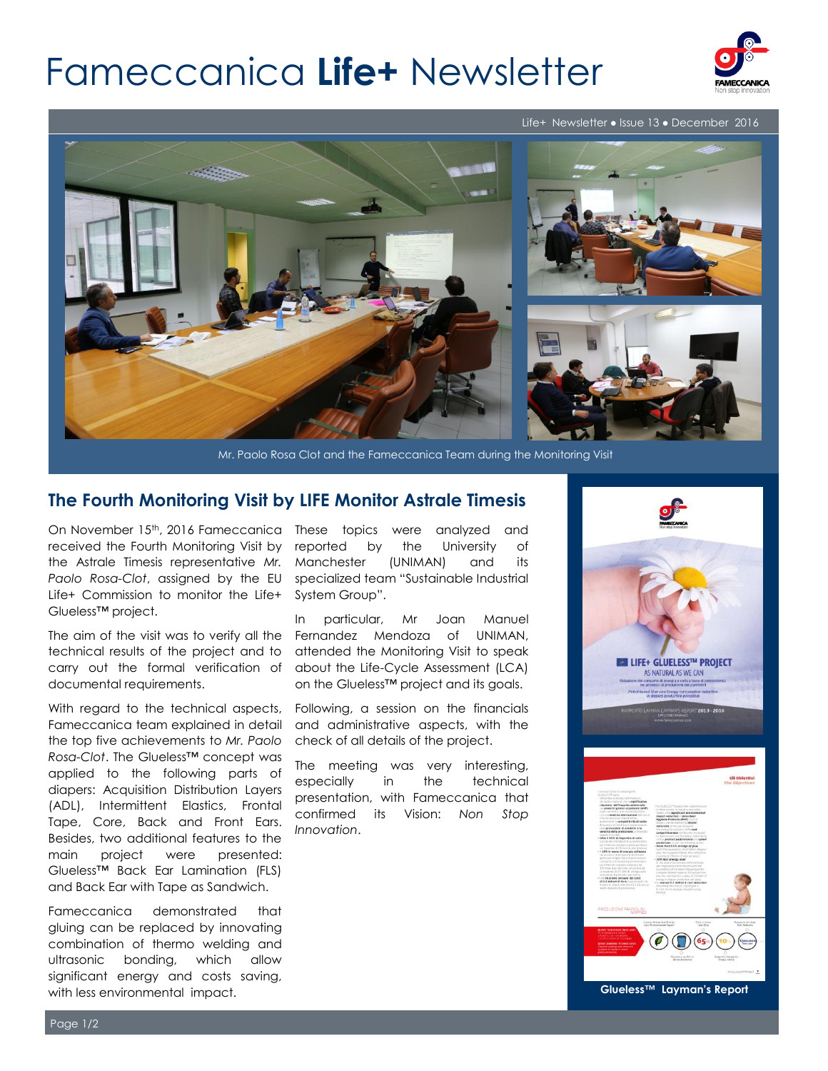# Fameccanica **Life+** Newsletter



#### Life+ Newsletter ● Issue 13 ● December 2016



Mr. Paolo Rosa Clot and the Fameccanica Team during the Monitoring Visit

### **The Fourth Monitoring Visit by LIFE Monitor Astrale Timesis**

received the Fourth Monitoring Visit by the Astrale Timesis representative *Mr. Paolo Rosa-Clot*, assigned by the EU Life+ Commission to monitor the Life+ Glueless™ project.

The aim of the visit was to verify all the technical results of the project and to carry out the formal verification of documental requirements.

With regard to the technical aspects, Fameccanica team explained in detail the top five achievements to *Mr. Paolo Rosa-Clot*. The Glueless™ concept was applied to the following parts of diapers: Acquisition Distribution Layers (ADL), Intermittent Elastics, Frontal Tape, Core, Back and Front Ears. Besides, two additional features to the main project were presented: Glueless™ Back Ear Lamination (FLS) and Back Ear with Tape as Sandwich.

Fameccanica demonstrated that gluing can be replaced by innovating combination of thermo welding and ultrasonic bonding, which allow significant energy and costs saving, with less environmental impact.

On November 15<sup>th</sup>, 2016 Fameccanica These topics were analyzed and reported by the University of Manchester (UNIMAN) and its specialized team "Sustainable Industrial System Group".

> In particular, Mr Joan Manuel Fernandez Mendoza of UNIMAN, attended the Monitoring Visit to speak about the Life-Cycle Assessment (LCA) on the Glueless™ project and its goals.

> Following, a session on the financials and administrative aspects, with the check of all details of the project.

> The meeting was very interesting, especially in the technical presentation, with Fameccanica that confirmed its Vision: *Non Stop Innovation*.